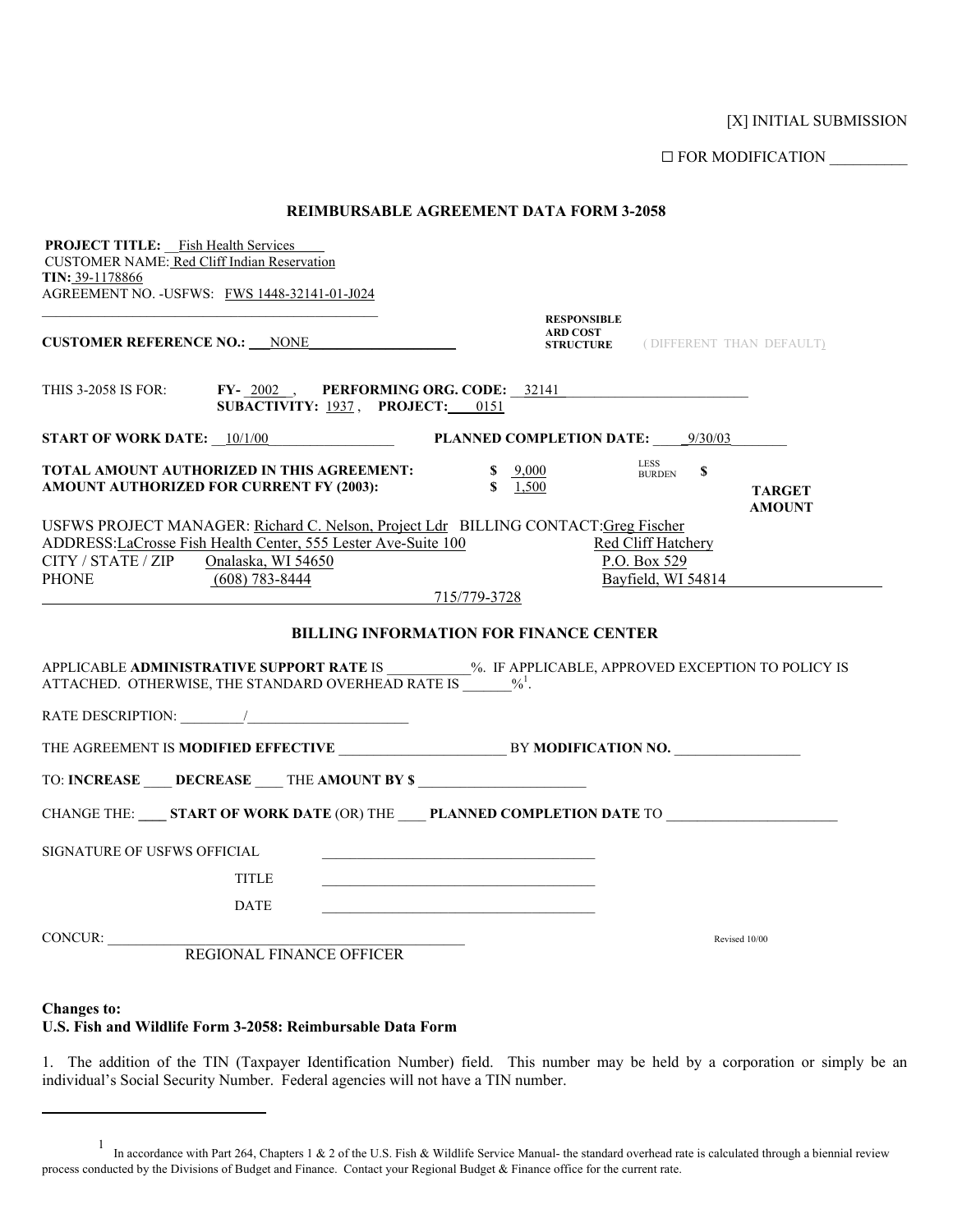[X] INITIAL SUBMISSION

G FOR MODIFICATION \_\_\_\_\_\_\_\_\_\_

|  |  | REIMBURSABLE AGREEMENT DATA FORM 3-2058 |
|--|--|-----------------------------------------|
|--|--|-----------------------------------------|

| <b>PROJECT TITLE:</b> Fish Health Services<br><b>CUSTOMER NAME: Red Cliff Indian Reservation</b>                                                                                                 |                                                                                                                                                 |
|--------------------------------------------------------------------------------------------------------------------------------------------------------------------------------------------------|-------------------------------------------------------------------------------------------------------------------------------------------------|
| TIN: 39-1178866<br>AGREEMENT NO. - USFWS: FWS 1448-32141-01-J024                                                                                                                                 |                                                                                                                                                 |
|                                                                                                                                                                                                  | <b>RESPONSIBLE</b>                                                                                                                              |
| <b>CUSTOMER REFERENCE NO.: NONE</b>                                                                                                                                                              | <b>ARD COST</b><br><b>STRUCTURE</b> (DIFFERENT THAN DEFAULT)                                                                                    |
| THIS 3-2058 IS FOR: FY-2002, PERFORMING ORG. CODE: 32141<br>SUBACTIVITY: 1937, PROJECT: 0151                                                                                                     |                                                                                                                                                 |
| <b>START OF WORK DATE:</b> $10/1/00$                                                                                                                                                             | <b>PLANNED COMPLETION DATE:</b> 9/30/03                                                                                                         |
| TOTAL AMOUNT AUTHORIZED IN THIS AGREEMENT:<br>AMOUNT AUTHORIZED FOR CURRENT FY (2003):                                                                                                           | <b>LESS</b><br>$\frac{9,000}{ }$<br><sup>\$</sup><br><b>BURDEN</b><br>\$1,500<br><b>TARGET</b><br><b>AMOUNT</b>                                 |
| USFWS PROJECT MANAGER: Richard C. Nelson, Project Ldr BILLING CONTACT: Greg Fischer<br>ADDRESS:LaCrosse Fish Health Center, 555 Lester Ave-Suite 100<br>CITY / STATE / ZIP<br>Onalaska, WI 54650 | Red Cliff Hatchery<br>P.O. Box 529                                                                                                              |
| <b>PHONE</b><br>$(608)$ 783-8444                                                                                                                                                                 | Bayfield, WI 54814<br>715/779-3728                                                                                                              |
| ATTACHED. OTHERWISE, THE STANDARD OVERHEAD RATE IS $\frac{96!}{100}$ .                                                                                                                           | <b>BILLING INFORMATION FOR FINANCE CENTER</b><br>APPLICABLE ADMINISTRATIVE SUPPORT RATE IS 40 %. IF APPLICABLE, APPROVED EXCEPTION TO POLICY IS |
|                                                                                                                                                                                                  |                                                                                                                                                 |
|                                                                                                                                                                                                  |                                                                                                                                                 |
| TO: INCREASE DECREASE THE AMOUNT BY \$                                                                                                                                                           |                                                                                                                                                 |
|                                                                                                                                                                                                  | CHANGE THE: _____ START OF WORK DATE (OR) THE PLANNED COMPLETION DATE TO                                                                        |
| SIGNATURE OF USFWS OFFICIAL                                                                                                                                                                      |                                                                                                                                                 |
| <b>TITLE</b>                                                                                                                                                                                     |                                                                                                                                                 |
| DATE                                                                                                                                                                                             |                                                                                                                                                 |
| CONCUR:                                                                                                                                                                                          | Revised 10/00                                                                                                                                   |
| REGIONAL FINANCE OFFICER                                                                                                                                                                         |                                                                                                                                                 |
| <b>Changes to:</b>                                                                                                                                                                               |                                                                                                                                                 |

**U.S. Fish and Wildlife Form 3-2058: Reimbursable Data Form**

 $\overline{a}$ 

1. The addition of the TIN (Taxpayer Identification Number) field. This number may be held by a corporation or simply be an individual's Social Security Number. Federal agencies will not have a TIN number.

<span id="page-0-0"></span><sup>1</sup> In accordance with Part 264, Chapters 1 & 2 of the U.S. Fish & Wildlife Service Manual- the standard overhead rate is calculated through a biennial review process conducted by the Divisions of Budget and Finance. Contact your Regional Budget & Finance office for the current rate.